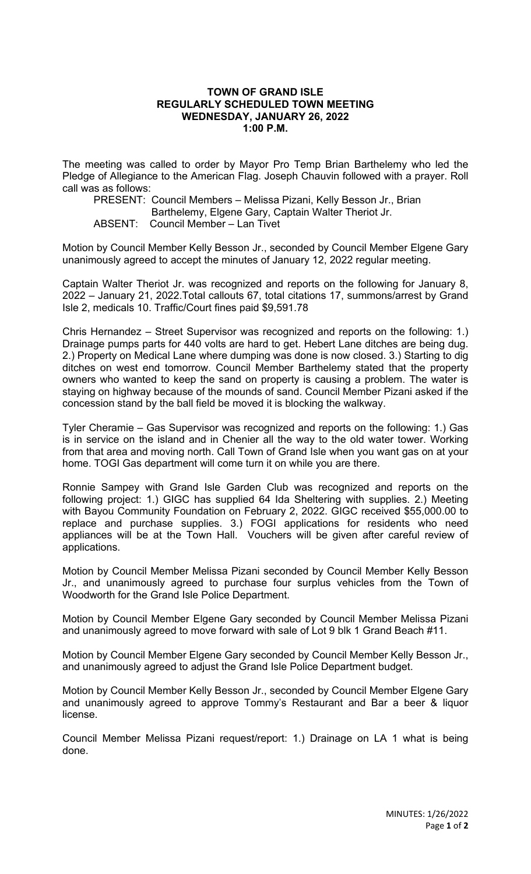## **TOWN OF GRAND ISLE REGULARLY SCHEDULED TOWN MEETING WEDNESDAY, JANUARY 26, 2022 1:00 P.M.**

The meeting was called to order by Mayor Pro Temp Brian Barthelemy who led the Pledge of Allegiance to the American Flag. Joseph Chauvin followed with a prayer. Roll call was as follows:

PRESENT: Council Members – Melissa Pizani, Kelly Besson Jr., Brian Barthelemy, Elgene Gary, Captain Walter Theriot Jr. ABSENT: Council Member – Lan Tivet

Motion by Council Member Kelly Besson Jr., seconded by Council Member Elgene Gary unanimously agreed to accept the minutes of January 12, 2022 regular meeting.

Captain Walter Theriot Jr. was recognized and reports on the following for January 8, 2022 – January 21, 2022.Total callouts 67, total citations 17, summons/arrest by Grand Isle 2, medicals 10. Traffic/Court fines paid \$9,591.78

Chris Hernandez – Street Supervisor was recognized and reports on the following: 1.) Drainage pumps parts for 440 volts are hard to get. Hebert Lane ditches are being dug. 2.) Property on Medical Lane where dumping was done is now closed. 3.) Starting to dig ditches on west end tomorrow. Council Member Barthelemy stated that the property owners who wanted to keep the sand on property is causing a problem. The water is staying on highway because of the mounds of sand. Council Member Pizani asked if the concession stand by the ball field be moved it is blocking the walkway.

Tyler Cheramie – Gas Supervisor was recognized and reports on the following: 1.) Gas is in service on the island and in Chenier all the way to the old water tower. Working from that area and moving north. Call Town of Grand Isle when you want gas on at your home. TOGI Gas department will come turn it on while you are there.

Ronnie Sampey with Grand Isle Garden Club was recognized and reports on the following project: 1.) GIGC has supplied 64 Ida Sheltering with supplies. 2.) Meeting with Bayou Community Foundation on February 2, 2022. GIGC received \$55,000.00 to replace and purchase supplies. 3.) FOGI applications for residents who need appliances will be at the Town Hall. Vouchers will be given after careful review of applications.

Motion by Council Member Melissa Pizani seconded by Council Member Kelly Besson Jr., and unanimously agreed to purchase four surplus vehicles from the Town of Woodworth for the Grand Isle Police Department.

Motion by Council Member Elgene Gary seconded by Council Member Melissa Pizani and unanimously agreed to move forward with sale of Lot 9 blk 1 Grand Beach #11.

Motion by Council Member Elgene Gary seconded by Council Member Kelly Besson Jr., and unanimously agreed to adjust the Grand Isle Police Department budget.

Motion by Council Member Kelly Besson Jr., seconded by Council Member Elgene Gary and unanimously agreed to approve Tommy's Restaurant and Bar a beer & liquor license.

Council Member Melissa Pizani request/report: 1.) Drainage on LA 1 what is being done.